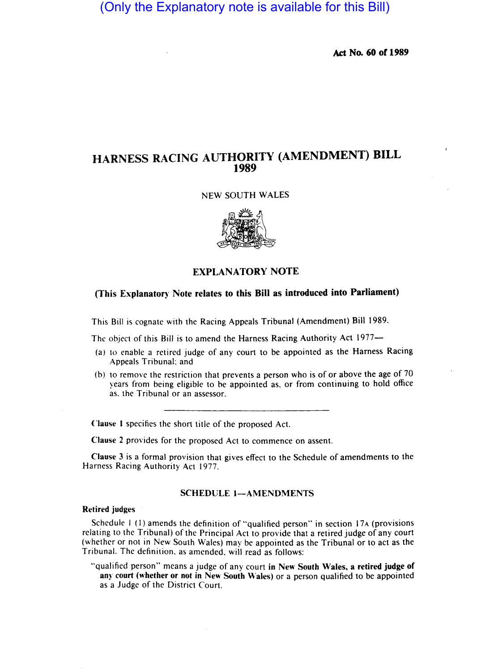(Only the Explanatory note is available for this Bill)

Act No. 60 of 1989

# HARNESS RACING AUTHORITY (AMENDMENT) BILL 1989

#### NEW SOUTH WALES



EXPLANATORY NOTE

## (This Explanatory Note relates to this Bill as introduced into Parliament)

This Bill is cognate with the Racing Appeals Tribunal (Amendment) Bill 1989.

The object of this Bill is to amend the Harness Racing Authority Act 1977-

- (a) to enable a retired judge of any court to be appointed as the Harness Racing Appeals Tribunal; and
- (b) to remove the restriction that prevents a person who is of or above the age of 70 years from being eligible to be appointed as. or from continuing to hold office as. the Tribunal or an assessor.

Clause I specifies the short title of the proposed Act.

Clause 2 provides for the proposed Act to commence on assent.

Clause 3 is a formal provision that gives effect to the Schedule of amendments to the Harness Racing Authority Act 1977.

#### SCHEDULE 1-AMENDMENTS

### Retired judges

Schedule  $1(1)$  amends the definition of "qualified person" in section 17 $\alpha$  (provisions relating to the Tribunal) of the Principal Act to provide that a retired judge of any court (whether or not in New South Wales) may be appointed as the Tribunal or to act as the Tribunal. The definition. as amended. will read as follows:

"qualified person" means a judge of any court in New South Wales, a retired judge of any court (whether or not in New South Wales) or a person qualified to be appointed as a Judge of the District Court.